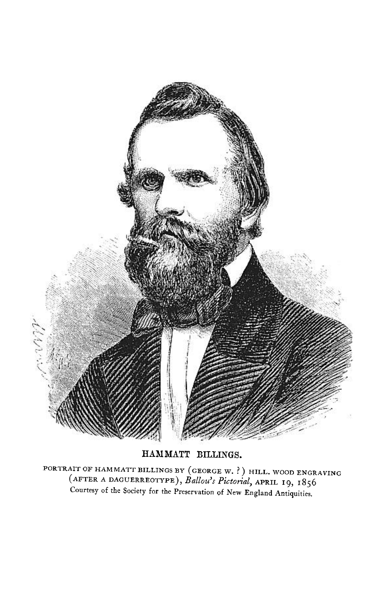

HAMMATT BILLINGS.

PORTRAIT OF HAMMATT BILLINGS BY (GEORGE W. ?) HILL. WOOD ENGRAVING (AFTER A DAGUERREOTYPE), Ballou's Pictorial, APRIL 19, 1856 Courtesy of the Society for the Preservation of New England Antiquities.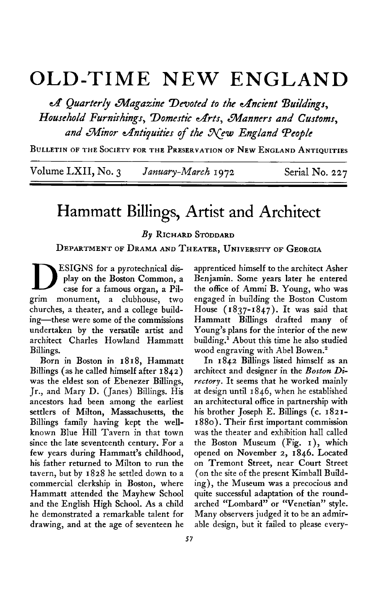## **OLD-TIME NEW ENGLAND**

 $\mathcal A$  Quarterly Magazine Devoted to the Ancient Buildings, Household Furnishings, Domestic Arts, Manners and Customs, and Minor Antiquities of the New England People

**BULLETIN OF THE SOCIETY FOR THE PRESERVATION OF NEW ENGLAND ANTIQUITIES** 

**Volume LXII, No. 3** *January-March* 1972 Serial No. 227

## **Hammatt Billings, Artist and Architect**

**By RICHARD STODDARD** 

**DEPARTMENT OF DRAMA AND THEATER, UNIVERSITY OF GEORGIA** 

**D ESIGNS** for a pyrotechnical display on the Boston Common, a case for a famous organ, a Pil**play on the Boston Common, a grim monument, a clubhouse, two churches, a theater, and a college building-these were some of the commissions undertaken by the versatile artist and architect Charles Howland Hammatt Billings.** 

Billings (as he called himself after 1842) architect and designer in the Boston Di**was the eldest son of Ebenezer Billings, rectory. It seems that he worked mainly Jr., and Mary D. (Janes) Billings. His at design until 1846, when he established ancestors had been among the earliest an architectural office in partnership with settlers of Milton, Massachusetts, the his brother Joseph E. Billings (c. 1821- Billings family having kept the well- I 880). Their first important commission known Blue Hill Tavern in that town was the theater and exhibition hall called since the late seventeenth century. For a the Boston Museum (Fig. I), which few years during Hammatt's childhood, opened on November 2, 1846. Located his father returned to Milton to run the on Tremont Street, near Court Street tavern, but by 1828 he settled down to a (on the site of the present Kimball Buildcommercial clerkship in Boston, where ing), the Museum was a precocious and**  Hammatt attended the Mayhew School quite successful adaptation of the round-<br>and the English High School. As a child arched "Lombard" or "Venetian" style. and the English High School. As a child **he demonstrated a remarkable talent for Many observers judged it to be an admir-**

apprenticed himself to the architect Asher **Benjamin. Some years later he entered the office of Ammi B. Young, who was engaged in building the Boston Custom House (1837-1847). It was said that Hammatt Billings drafted many of Young's plans for the interior of the new**  building.<sup>1</sup> About this time he also studied **wood engraving with Abel Bowen.\*** 

**Born in Boston in 1818, Hammatt In 1842 Billings listed himself as an drawing, and at the age of seventeen he able design, but it failed to please every-**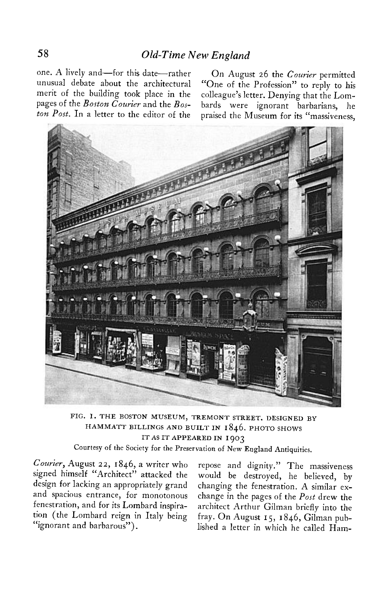one. A lively and-for this date-rather On August 26 the Courier permitted

**unusual debate about the architectural "One of the Profession" to reply to his merit of the building took place in the colleague's letter. Denying that the Lompages of the Boston Courier and the Bos- bards were ignorant barbarians, he ton Post. In a letter to the editor of the praised the Museum for its "massiveness,** 



**FIG. I. THE BOSTON MUSEUM, TREMONT STREET. DESIGNED BY HAMMATT BILLINGS AND BUILT IN I 846. PHOTO SHOWS ITASITAPPEAREDIN 1903** 

**Courtesy of the Society for the Preservation of New England Antiquities.** 

**Courier, August 22, 1846, a writer who repose and dignity." The massiveness signed himself "Architect" attacked the would be destroyed, he believed, by design for lacking an appropriately grand changing the fenestration. A similar exand spacious entrance, for monotonous change in the pages of the Post drew the fenestration, and for its Lombard inspira- architect Arthur Gilman briefly into the tion (the Lombard reign in Italy being fray. On August 15, 1846, Gilman pub- "ignorant and barbarous"). lished a letter in which he called Ham-**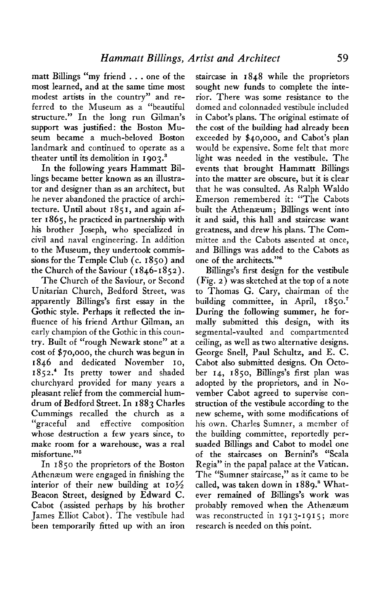**matt Billings "my friend . . . one of the most learned, and at the same time most modest artists in the country" and referred to the Museum as a "beautiful structure." In the long run Gilman's support was justified: the Boston Museum became a much-beloved Boston landmark and continued to operate as a theater until its demolition in 1903.**<sup>3</sup>

**In the following years Hammatt Billings became better known as an illustrator and designer than as an architect, but he never abandoned the practice of architecture. Until about I 85 I, and again after 1865, he practiced in partnership with his brother Joseph, who specialized in civil and naval engineering. In addition to the Museum, they undertook commissions for the Temple Club (c. 1850) and the Church of the Saviour ( I 846-1852).** 

**The Church of the Saviour, or Second Unitarian Church, Bedford Street, was apparently Billings's first essay in the Gothic style. Perhaps it reflected the influence of his friend Arthur Gilman, an early champion of the Gothic in this country. Built of "rough Newark stone" at a cost of \$70,000, the church was begun in 1846 and dedicated November IO, 1852.~ Its pretty tower and shaded churchyard provided for many years a pleasant relief from the commercial humdrum of Bedford Street. In I 883 Charles Cummings recalled the church as a "graceful and effective composition whose destruction a few years since, to make room for a warehouse, was a real misfortune."5** 

**In 1850 the proprietors of the Boston Athenaum were engaged in finishing the interior of their new building at 10% Beacon Street, designed by Edward C. Cabot (assisted perhaps by his brother James Elliot Cabot). The vestibule had been temporarily fitted up with an iron** 

**staircase in 1848 while the proprietors sought new funds to complete the interior. There was some resistance to the domed and colonnaded vestibule included in Cabot's plans. The original estimate of the cost of the building had already been exceeded by \$40,000, and Cabot's plan would be expensive. Some felt that more light was needed in the vestibule. The events that brought Hammatt Billings into the matter are obscure, but it is clear that he was consulted. As Ralph Waldo Emerson remembered it: "The Cabots**  built the Athenæum; Billings went into **it and said, this hall and staircase want greatness, and drew his plans. The Committee and the Cabots assented at once, and Billings was added to the Cabots as**  one of the architects."<sup>8</sup>

**Billings's first design for the vestibule (Fig. 2) was sketched at the top of a note to Thomas G. Cary, chairman of the building committee, in April, 1850.' During the following summer, he formally submitted this design, with its segmental-vaulted and compartmented ceiling, as well as two alternative designs. George Snell, Paul Schultz, and E. C. Cabot also submitted designs. On October 14, 1850, Billings's first plan was adopted by the proprietors, and in November Cabot agreed to supervise construction of the vestibule according to the new scheme, with some modifications of his own. Charles Sumner, a member of the building committee, reportedly persuaded Billings and Cabot to model one of the staircases on Bernini's "Scala Regia" in the papal palace at the Vatican. The "Sumner staircase," as it came to be called, was taken down in 1889.' Whatever remained of Billings's work was probably removed when the Athenaeum was reconstructed in 1913-1915 ; more research is needed on this point.**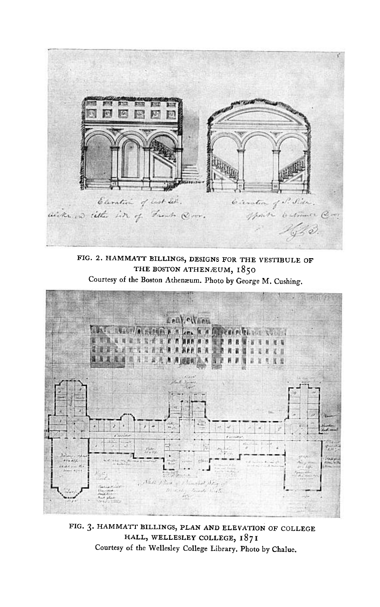

**FIG. 2. HAMMATT BILLINGS, DESIGNS FOR THE VESTIBULE OF**  THE BOSTON ATHENÆUM, 1850



FIG. 3. HAMMATT BILLINGS, PLAN AND ELEVATION OF COLLEGE **HALL, WELLESLEY COLLEGE, I8 7 <sup>I</sup> Courtesy of the Wellesley College Library. Photo by Chalue.**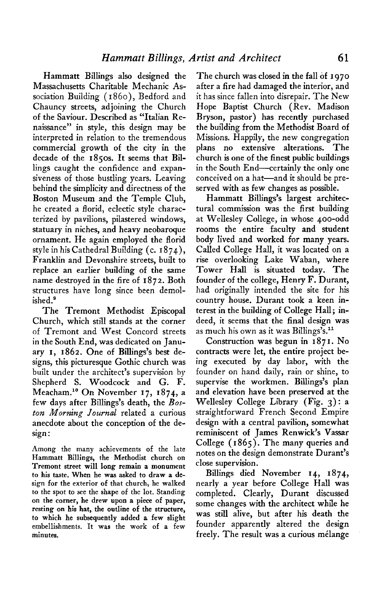**Hammatt Billings also designed the Massachusetts Charitable Mechanic Association Building ( I 860)) Bedford and Chauncy streets, adjoining the Church of the Saviour. Described as "Italian Renaissance" in style, this design may be interpreted in relation to the tremendous commercial growth of the city in the decade of the 1850s. It seems that Billings caught the confidence and expansiveness of those bustling years. Leaving behind the simplicity and directness of the Boston Museum and the Temple Club, he created a florid, eclectic style characterized by pavilions, pilastered windows, statuary in niches, and heavy neobaroque ornament. He again employed the florid style in his Cathedral Building (c. I 874)) Franklin and Devonshire streets, built to replace an earlier building of the same name destroyed in the fire of 1872. Both structures have long since been demolished.'** 

**The Tremont Methodist Episcopal Church, which still stands at the corner of Tremont and West Concord streets in the South End, was dedicated on January I, 1862. One of Billings's best designs, this picturesque Gothic church was built under the architect's supervision by Shepherd S. Woodcock and G. F. Meacham.l" On November 17, 1874, a few days after Billings's death, the Boston Morning Journal related a curious anecdote about the conception of the design :** 

**Among the many achievements of the late Hammatt Billings, the Methodist church on Tremont street will long remain a monument to his taste. When he was asked to draw a design for the exterior of that church, he walked to the spot to see the shape of the lot. Standing on the corner, he drew upon a piece of paper, resting on his hat, the outline of the structure, to which he subsequently added a few slight embellishments. It was the work of a few minutes.** 

**The church was closed in the fall of I 970 after a fire had damaged the interior, and it has since fallen into disrepair. The New Hope Baptist Church (Rev. Madison Bryson, pastor) has recently purchased the building from the Methodist Board of Missions. Happily, the new congregation plans no extensive alterations. The church is one of the finest public buildings in the South End-certainly the only one**  conceived on a hat-and it should be pre**served with as few changes as possible.** 

**Hammatt Billings's largest architectural commission was the first building at Wellesley College, in whose qoo-odd rooms the entire faculty and student body lived and worked for many years. Called College Hall, it was located on a rise overlooking Lake Waban, where Tower Hall is situated today. The founder of the college, Henry F. Durant, had originally intended the site for his country house. Durant took a keen interest in the building of College Hall; indeed, it seems that the final design was as much his own as it was Billings's.ll** 

**Construction was begun in I 87 I. No contracts were let, the entire project being executed by day labor, with the founder on hand daily, rain or shine, to supervise the workmen. Billings's plan and elevation have been preserved at the Wellesley College Library (Fig. 3) : a straightforward French Second Empire design with a central pavilion, somewhat reminiscent of James Renwick's Vassar College ( 1865). The many queries and notes on the design demonstrate Durant's close supervision.** 

Billings died November 14, 1874, **nearly a year before College Hall was completed. Clearly, Durant discussed some changes with the architect while he was still alive, but after his death the founder apparently altered the design freely. The result was a curious melange**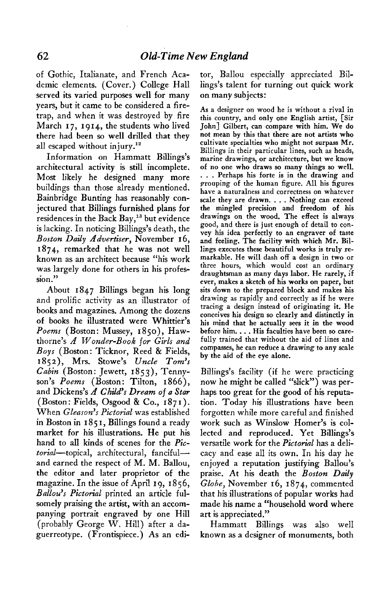**of Gothic, Italianate, and French Academic elements. (Cover.) College Hall served its varied purposes well for many years, but it came to be considered a firetrap, and when it was destroyed by fire March I 7, 1914, the students who lived there had been so well drilled that they all escaped without injury."** 

**Information on Hammatt Billings's architectural activity is still incomplete. Most likely he designed many more buildings than those already mentioned. Bainbridge Bunting has reasonably conjectured that Billings furnished plans for residences in the Back Bay,13 but evidence is lacking. In noticing Billings's death, the Boston Daily Advertiser, November 16, 1874, remarked that he was not well known as an architect because "his work was largely done for others in his profession."** 

**About 1847 Billings began his long and prolific activity as an illustrator of books and magazines. Among the dozens of books he illustrated were Whittier's Poems (Boston: Mussey, 1850), Hawthorne's A Wonder-Book for Girls and Boys (Boston: Ticknor, Reed & Fields, 1852), Mrs. Stowe's Uncle Toms ' Cabin (Boston: Jewett, 1853), Tennyson's Poems (Boston: Tilton, I 866),**  and Dickens's A Child's Dream of a Star **(Boston: Fields, Osgood & Co., 187 I). When Gleason's Pictorial was established in Boston in I 85 I, Billings found a ready market for his illustrations. He put his hand to all kinds of scenes for the Pic**torial-topical, architectural, fanciful**and earned the respect of M. M. Ballou, the editor and later proprietor of the magazine. In the issue of April 19, 1856,**  Ballou's Pictorial printed an article ful**somely praising the artist, with an accompanying portrait engraved by one Hill (probably George W. Hill) after a daguerreotype. (Frontispiece.) As an edi-** **tor, Ballou especially appreciated Billings's talent for turning out quick work on many subjects:** 

**As a designer on wood he is without a rival in this country, and only one English artist, [Sir John] Gilbert, can compare with him. We do not mean by this that there are not artists who cultivate specialties who might not surpass Mr. Billings in their particular lines, such as heads, marine drawings, or architecture, but we know of no one who draws so many things so well. . . . Perhaps his forte is in the drawing and grouping of the human figure. All his figures have a naturalness and correctness on whatever scale they are drawn. . . . Nothing can exceed the mingled precision and freedom of his drawings on the wood. The effect is always good, and there is just enough of detail to convey his idea perfectly to an engraver of taste and feeling. The facility with which Mr. Billings executes these beautiful works is truly remarkable. He will dash off a design in two or three hours, which would cost an ordinary draughtsman as many days labor. He rarely, if ever, makes a sketch of his works on paper, but sits down to the prepared block and makes his drawing as rapidly and correctly as if he were tracing a design instead of originating it. He conceives his design so clearly and distinctly in his mind that he actually sees it in the wood before him. . . . His faculties have been so carefully trained that without the aid of lines and compasses, he can reduce a drawing to any scale by the aid of the eye alone.** 

**Billings's facility (if he were practicing now he might be called "slick") was perhaps too great for the good of his reputation. Today his illustrations have been forgotten while more careful and finished work such as Winslow Homer's is collected and reproduced. Yet Billings's versatile work for the Pictorial has a delicacy and ease all its own. In his day he enjoyed a reputation justifying Ballou's**  praise. At his death the **Boston Daily Globe, November 16, 1874, commented that his illustrations of popular works had made his name a "household word where art is appreciated."** 

**Hammatt Billings was also well known as a designer of monuments, both**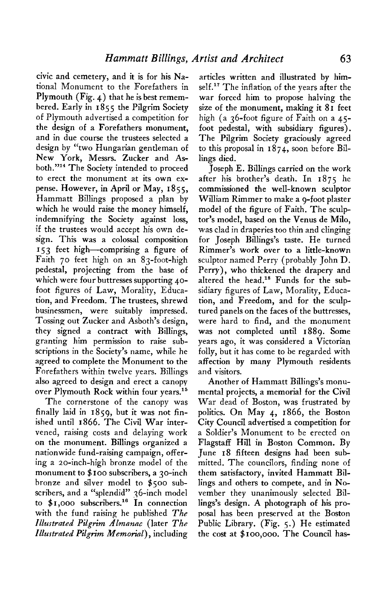**civic and cemetery, and it is for his National Monument to the Forefathers in Plymouth (Fig. 4) that he is best remembered. Early in 1855 the Pilgrim Society of Plymouth advertised a competition for the design of a Forefathers monument, and in due course the trustees selected a design by "two Hungarian gentleman of New York, Messrs. Zucker and Asboth."14 The Society intended to proceed to erect the monument at its own expense. However, in April or May, 1855, Hammatt Billings proposed a plan by which he would raise the money himself, indemnifying the Society against loss, if the trustees would accept his own design. This was a colossal composition 153 feet high--comprising a figure of Faith 70 feet high on an 83-foot-high pedestal, projecting from the base of**  which were four buttresses supporting 40**foot figures of Law, Morality, Education, and Freedom. The trustees, shrewd businessmen, were suitably impressed. Tossing out Zucker and Asboth's design, they signed a contract with Billings, granting him permission to raise subscriptions in the Society's name, while he agreed to complete the Monument to the Forefathers within twelve years. Billings also agreed to design and erect a canopy over Plymouth Rock within four years.15** 

**The cornerstone of the canopy was finally laid in 1859, but it was not finished until 1866. The Civil War intervened, raising costs and delaying work on the monument. Billings organized a nationwide fund-raising campaign, offering a ao-inch-high bronze model of the monument to \$ IOO subscribers, a 3o-inch bronze and silver model to \$500 subscribers, and a "splendid" 36-inch model to \$1,000 subscribers.l' In connection with the fund raising he published The Illustrated Pilgrim ALmannc (later The Illustrated Pilgrim Memorial), including** 

**articles written and illustrated by himself.'? The inflation of the years after the war forced him to propose halving the size of the monument, making it 81 feet high (a 36-foot figure of Faith on a 45 foot pedestal, with subsidiary figures). The Pilgrim Society graciously agreed to this proposal in 1874, soon before Billings died.** 

**Joseph E. Billings carried on the work after his brother's death. In I 875 he commissioned the well-known sculptor William Rimmer to make a 9-foot plaster model of the figure of Faith. The sculptor's model, based on the Venus de Milo, was clad in draperies too thin and clinging for Joseph Billings's taste. He turned Rimmer's work over to a little-known sculptor named Perry (probably John D. Perry), who thickened the drapery and altered the head.'\* Funds for the subsidiary figures of Law, Morality, Education, and Freedom, and for the sculptured panels on the faces of the buttresses, were hard to find, and the monument was not completed until 1889. Some years ago, it was considered a Victorian folly, but it has come to be regarded with affection by many Plymouth residents and visitors.** 

**Another of Hammatt Billings's monumental projects, a memorial for the Civil War dead of Boston, was frustrated by politics. On May 4, 1866, the Boston City Council advertised a competition for a Soldier's Monument to be erected on Flagstaff Hill in Boston Common. By June 18 fifteen designs had been submitted. The councilors, finding none of them satisfactory, invited Hammatt Billings and others to compete, and in November they unanimously selected Billings's design. A photograph of his proposal has been preserved at the Boston Public Library. (Fig. 5.) He estimated the cost at \$IOO,OOO. The Council has-**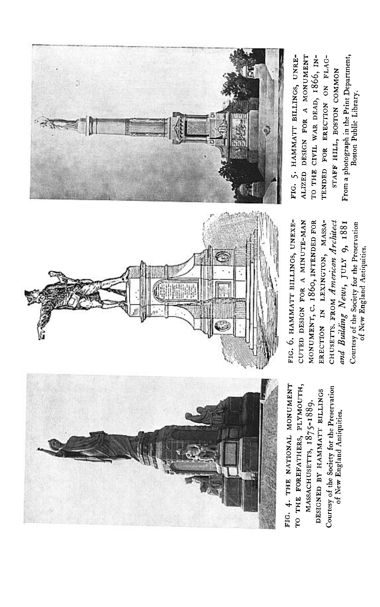

From a photograph in the Print Department,<br>Boston Public Library. TO THE CIVIL WAR DEAD, 1866, IN-TENDED FOR ERECTION ON FLAG-STAFF HILL, BOSTON COMMON

ERECTION IN LEXINGTON, MASSA-CHUSETTS. FROM American Architect Courtesy of the Society for the Preservation<br>of New England Antiquities. and Building News, JULY 9, 1881

Courtesy of the Society for the Preservation

of New England Antiquities.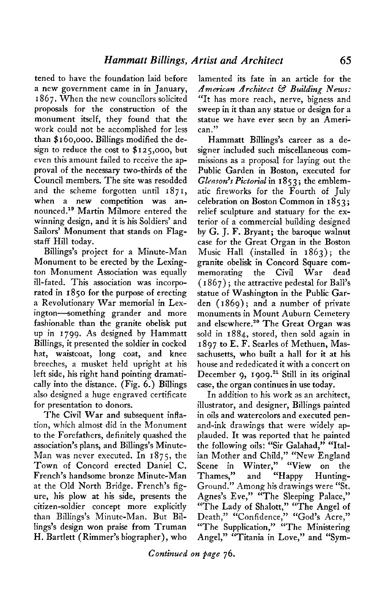**tened to have the foundation laid before a new government came in in January, I 867. When the new councilors solicited proposals for the construction of the monument itself, they found that the work could not be accomplished for less than \$ I 60,000. Billings modified the design to reduce the cost to \$125,000, but even this amount failed to receive the approval of the necessary two-thirds of the Council members. The site was resodded and the scheme forgotten until 187 I, when a new competition was an**nounced.<sup>19</sup> Martin Milmore entered the **winning design, and it is his Soldiers' and Sailors' Monument that stands on Flagstaff Hill today.** 

**Billings's project for a Minute-Man Monument to be erected by the Lexington Monument Association was equally ill-fated. This association was incorporated in 1850 for the purpose of erecting a Revolutionary War memorial in Lexington--something grander and more fashionable than the granite obelisk put up in 1799. As designed by Hammatt Billings, it presented the soldier in cocked hat, waistcoat, long coat, and knee breeches, a musket held upright at his left side, his right hand pointing dramatically into the distance. (Fig. 6.) Billings also designed a huge engraved certificate for presentation to donors.** 

**The Civil War and subsequent infiation, which almost did in the Monument to the Forefathers, definitely quashed the association's plans, and Billings's Minute-Man was never executed. In 1875, the Town of Concord erected Daniel C. French's handsome bronze Minute-Man at the Old North Bridge. French's figure, his plow at his side, presents the citizen-soldier concept more explicitly than Billings's Minute-Man. But Billings's design won praise from Truman H. Bartlett (Rimmer's biographer), who** 

**lamented its fate in an article for the American Architect 63 Building News: "It has more reach, nerve, bigness and sweep in it than any statue or design for a statue we have ever Seen by an American."** 

**Hammatt Billings's career as a designer included such miscellaneous commissions as a proposal for laying out the Public Garden in Boston, executed for**  Gleason's Pictorial in 1853; the emblem**atic fireworks for the Fourth of July celebration on Boston Common in 1853; relief sculpture and statuary for the exterior of a commercial building designed by G. J. F. Bryant; the baroque walnut case for the Great Organ in the Boston Music Hall (installed in 1863) ; the granite obelisk in Concord Square commemorating the Civil War dead ( I 867) ; the attractive pedestal for Ball's statue of Washington in the Public Garden (1869); and a number of private monuments in Mount Auburn Cemetery**  and elsewhere.<sup>20</sup> The Great Organ was **sold in 1884, stored, then sold again in 1897 to E. F. Searles of Methuen, Massachusetts, who built a hall for it at his house and rededicated it with a concert on**  December 9, 1909.<sup>21</sup> Still in its original **case, the organ continues in use today.** 

**In addition to his work as an architect, illustrator, and designer, Billings painted in oils and watercolors and executed penand-ink drawings that were widely applauded. It was reported that he painted the following oils: "Sir Galahad," "Italian Mother and Child," "New England Scene in Winter," "View on the Thames," and "Happy Hunting-Ground." Among his drawings were "St. Agnes's Eve," "The Sleeping Palace," "The Lady of Shalott," "The Angel of Death," "Confidence," "God's Acre," "The Supplication," "The Ministering**  Angel," "Titania in Love," and "Sym-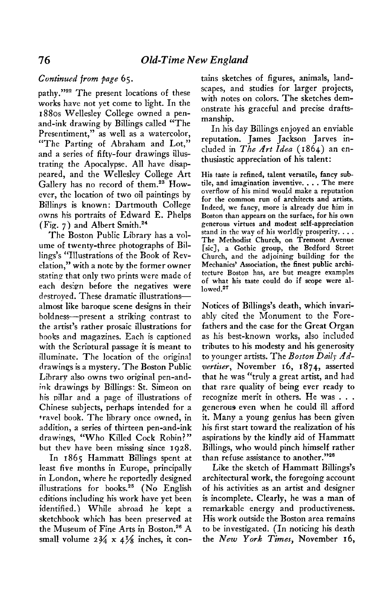## Continued from page 65.

pathy."<sup>22</sup> The present locations of these works have not yet come to light. In the 1880s Wellesley College owned a penand-ink drawing by Billings called "The Presentiment," as well as a watercolor, "The Parting of Abraham and Lot," and a series of fifty-four drawings illustrating the Apocalypse. All have disappeared, and the Wellesley College Art Gallery has no record of them.<sup>23</sup> However, the location of two oil paintings by Billings is known: Dartmouth College owns his portraits of Edward E. Phelps  $(Fig. 7)$  and Albert Smith.<sup>24</sup>

The Boston Public Library has a volume of twenty-three photographs of Billings's "Illustrations of the Book of Revelation," with a note by the former owner stating that only two prints were made of each design before the negatives were destroyed. These dramatic illustrationsalmost like baroque scene designs in their boldness-present a striking contrast to the artist's rather prosaic illustrations for books and magazines. Each is captioned with the Scriptural passage it is meant to illuminate. The location of the original drawings is a mystery. The Boston Public Library also owns two original pen-andink drawings by Billings: St. Simeon on his pillar and a page of illustrations of Chinese subjects, perhaps intended for a travel book. The library once owned, in addition, a series of thirteen pen-and-ink drawings, "Who Killed Cock Robin?" but they have been missing since 1928.

In 1865 Hammatt Billings spent at least five months in Europe, principally in London, where he reportedly designed illustrations for books.<sup>25</sup> (No English editions including his work have yet been identified.) While abroad he kept a sketchbook which has been preserved at the Museum of Fine Arts in Boston.<sup>26</sup> A small volume  $2\frac{3}{4} \times 4\frac{1}{8}$  inches, it contains sketches of figures, animals, landscapes, and studies for larger projects, with notes on colors. The sketches demonstrate his graceful and precise draftsmanship.

In his day Billings enjoyed an enviable reputation. James Jackson Jarves included in The Art Idea (1864) an enthusiastic appreciation of his talent:

His taste is refined, talent versatile, fancy subtile, and imagination inventive. . . . The mere overflow of his mind would make a reputation for the common run of architects and artists. Indeed, we fancy, more is already due him in Boston than appears on the surface, for his own generous virtues and modest self-appreciation stand in the way of his worldly prosperity. . . . The Methodist Church, on Tremont Avenue [sic], a Gothic group, the Bedford Street Church, and the adjoining building for the Mechanics' Association, the finest public architecture Boston has, are but meagre examples of what his taste could do if scope were al $lowed.<sup>27</sup>$ 

Notices of Billings's death, which invariably cited the Monument to the Forefathers and the case for the Great Organ as his best-known works, also included tributes to his modesty and his generosity to younger artists. The Boston Daily Advertiser, November 16, 1874, asserted that he was "truly a great artist, and had that rare quality of being ever ready to recognize merit in others. He was . . . generous even when he could ill afford it. Many a young genius has been given his first start toward the realization of his aspirations by the kindly aid of Hammatt Billings, who would pinch himself rather than refuse assistance to another."28

Like the sketch of Hammatt Billings's architectural work, the foregoing account of his activities as an artist and designer is incomplete. Clearly, he was a man of remarkable energy and productiveness. His work outside the Boston area remains to be investigated. (In noticing his death the New York Times, November 16,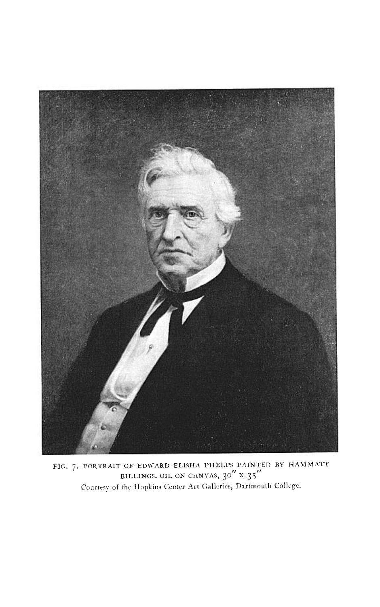

FIG. 7. PORTRAIT OF EDWARD ELISHA PHELPS PAINTED BY HAMMATT<br>BILLINGS. OIL ON CANVAS,  $30'' \times 35''$ <br>Courtesy of the Hopkins Center Art Galleries, Dartmouth College.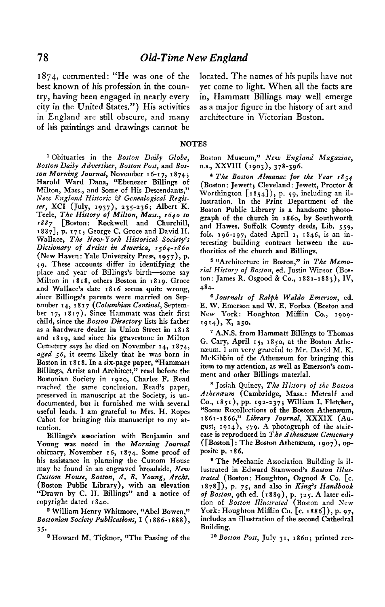**best known of his profession in the coun- yet come to light. When all the facts are try, having been engaged in nearly every in, Hammatt Billings may well emerge city in the United States.") His activities as a major figure in the history of art and in England are still obscure, and many architecture in Victorian Boston. of his paintings and drawings cannot be** 

**I 874, commented: "He was one of the located. The names of his pupils have not** 

## **NOTES**

**l Obituaries in the Boston Daily Globe, Boston Daily Advertiser, Boston Post, and Boston Morning Journal, November t 6-i 7, ,874; Harold Ward Dana. "Ebenezer Billings of Milton, Mass., and Some of His Descendants," New England Historic &' Genealogical Register, XC1 (July, 1937), 235-236; Albert K. Teele, The History of Milton, Mass., 1640 to 1887 [Boston: Rockwell and Churchill, I 8 8 71, p. I 7 I j George C. Grace and David H. Wallace, The New-York Historical Societys '** Dictionary of Artists in America, 1564-1860 **(New Haven: Yale University Press, r957), p. 49. These accounts differ in identifying the place and year of Billings's birth-some say Milton in I 8 I 8, others Boston in I 8 r 9. Grace and Wallace's date 1816 seems quite wrong, since Billings's parents were married on September I 4, I 8 I 7 (Columbian Centinel, Septem-ber 17, I 8 I 7). Since Hammatt was their first child, since the Boston Directory lists his father as a hardware dealer in Union Street in s 8 I 8 and r 8 19, and since his gravestone in Milton Cemetery says he died on November I 4, I 8 74, aged 56, it seems likely that he was born in**  Boston in 1818. In a six-page paper, "Hammatt **Billings, Artist and Architect," read before the Bostonian Society in 1920, Charles F. Read reached the same conclusion. Read's paper, preserved in manuscript at the Society, is undocumented, but it furnished me with.several**  useful leads. I am grateful to Mrs. H. Ropes **Cabot for bringing-this manuscript to my attention.** 

**Billings's association with Benjamin and Young was noted in the Morning Journal obituary, November 16, 1874. Some proof of his assistance in planning the Custom House mav be found in an engraved broadside, New**  Custom House, Boston, A. B. Young, Archt. **(Boston Public Librarv). with an elevation "Drawn by C. H. Billings" and a notice of copyright dated I 840.** 

**\* William Henry Whitmore, "Abel Bowen," Bostonian Society Publications, I (I 886-r 888), 35.** 

**\* Howard M. Ticknor, "The Passing of the** 

**Boston Museum," New England Magazine, n.s., XXVIII (1903), 378-396.** 

**4 The Boston ALmanac for the Year 1854 (Boston: Jewett; Cleveland: Jewett, Proctor & Worthington [1854]), p. 59, including an illustration. In the Print Department of the Boston Public Library is a handsome photograph of the church jn 1860, by Southworth**  fols. 196-197, dated April 1, 1846, is an in**teresting building contract between the authorities of the church and Billings.** 

<sup>5</sup> "Architecture in Boston," in The Memo**rial History of Boston, ed. Jistin Winsor (Boston: James R. Osgood & Co., 1881-1883)) IV, 484.** 

**g Journals of Ralph Waldo Emerson, ed. E. W. Emerson and W. E. Forbes (Boston and New York: Houghton Mifflin Co., r909- 19x4), X, 250.** 

**r A.N.S. from Hammatt Billings to Thomas G. Cary, April 15, 1850, at the Boston Athenaum. I am very grateful to Mr. David M. K. McKibbin of the Athenaurn for bringing this item to my attention, as well as Emerson's comment and other Billings material.** 

**\* Josiah Quincy, The History of the Boston**  Athenæum (Cambridge, Mass.: Metcalf and **Co., 1851), pp. 192-237; William I. Fletcher, "Some Recollections of the Boston Athenaeum,**  1861-1866," Library Journal, XXXIX (Au**gust, 19 14), 579. A photograph of the staircase is reproduced in The Athenaeum Centenary ([Boston] : The Boston Athenaeum, I 907)) opposite p. I 86.** 

<sup>9</sup> The Mechanic Association Building is illustrated in Edward Stanwood's Boston Illus**trated (Boston: Houghton, Osgood & Co. [c. r878]), p. 75, and also in King'r Handbook of Boston, 9th ed. (1889), p. 325. A later edition of Boston IZlustrated (Boston and New York: Houghton Mifflin Co. [c. 1886]), p. 97, includes an illustration of the second Cathedral Building.** 

**lo Boston Post, July 37, 1860; printed rec-**